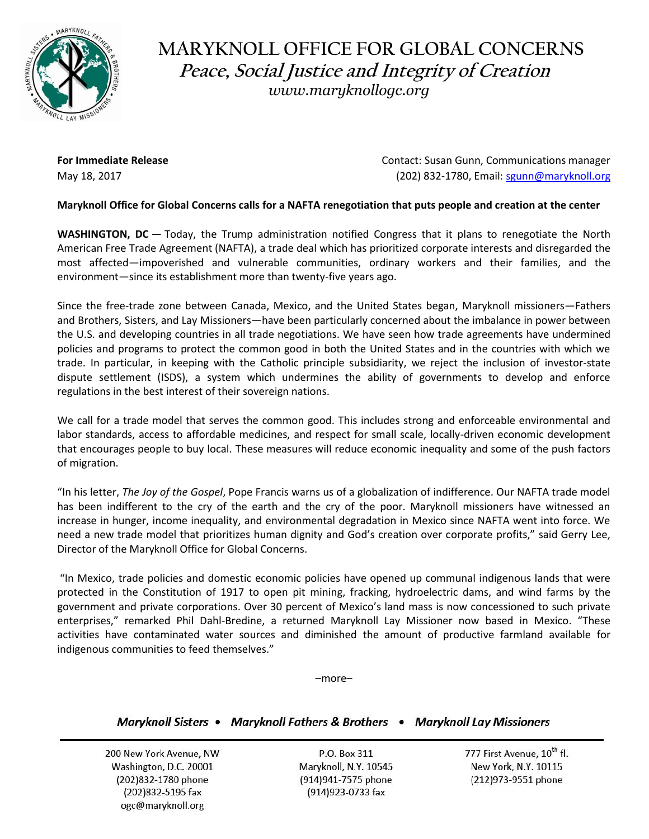

## **MARYKNOLL OFFICE FOR GLOBAL CONCERNS Peace, Social Justice and Integrity of Creation** *www.maryknollogc.org*

**For Immediate Release** Contact: Susan Gunn, Communications manager May 18, 2017 (202) 832-1780, Email: [sgunn@maryknoll.org](mailto:sgunn@maryknoll.org)

## **Maryknoll Office for Global Concerns calls for a NAFTA renegotiation that puts people and creation at the center**

**WASHINGTON, DC** — Today, the Trump administration notified Congress that it plans to renegotiate the North American Free Trade Agreement (NAFTA), a trade deal which has prioritized corporate interests and disregarded the most affected—impoverished and vulnerable communities, ordinary workers and their families, and the environment—since its establishment more than twenty-five years ago.

Since the free-trade zone between Canada, Mexico, and the United States began, Maryknoll missioners—Fathers and Brothers, Sisters, and Lay Missioners—have been particularly concerned about the imbalance in power between the U.S. and developing countries in all trade negotiations. We have seen how trade agreements have undermined policies and programs to protect the common good in both the United States and in the countries with which we trade. In particular, in keeping with the Catholic principle subsidiarity, we reject the inclusion of investor-state dispute settlement (ISDS), a system which undermines the ability of governments to develop and enforce regulations in the best interest of their sovereign nations.

We call for a trade model that serves the common good. This includes strong and enforceable environmental and labor standards, access to affordable medicines, and respect for small scale, locally-driven economic development that encourages people to buy local. These measures will reduce economic inequality and some of the push factors of migration.

"In his letter, *The Joy of the Gospel*, Pope Francis warns us of a globalization of indifference. Our NAFTA trade model has been indifferent to the cry of the earth and the cry of the poor. Maryknoll missioners have witnessed an increase in hunger, income inequality, and environmental degradation in Mexico since NAFTA went into force. We need a new trade model that prioritizes human dignity and God's creation over corporate profits," said Gerry Lee, Director of the Maryknoll Office for Global Concerns.

"In Mexico, trade policies and domestic economic policies have opened up communal indigenous lands that were protected in the Constitution of 1917 to open pit mining, fracking, hydroelectric dams, and wind farms by the government and private corporations. Over 30 percent of Mexico's land mass is now concessioned to such private enterprises," remarked Phil Dahl-Bredine, a returned Maryknoll Lay Missioner now based in Mexico. "These activities have contaminated water sources and diminished the amount of productive farmland available for indigenous communities to feed themselves."

–more–

## Maryknoll Sisters • Maryknoll Fathers & Brothers • Maryknoll Lay Missioners

200 New York Avenue, NW Washington, D.C. 20001 (202) 832-1780 phone (202) 832-5195 fax ogc@maryknoll.org

P.O. Box 311 Maryknoll, N.Y. 10545 (914)941-7575 phone (914) 923-0733 fax

777 First Avenue, 10<sup>th</sup> fl. New York, N.Y. 10115 (212)973-9551 phone